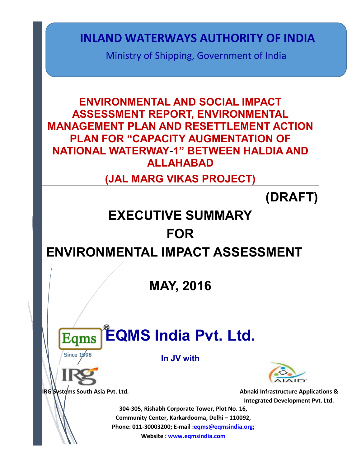Ministry of Shipping, Government of India

**ENVIRONMENTAL AND SOCIAL IMPACT ASSESSMENT REPORT, ENVIRONMENTAL MANAGEMENT PLAN AND RESETTLEMENT ACTION PLAN FOR "CAPACITY AUGMENTATION OF NATIONAL WATERWAY**-**1" BETWEEN HALDIA AND ALLAHABAD INLAND WATERWAYS AUTHORITY OF INDIA<br>
Ministry of Shipping, Government of India<br>
SESSEMENT REPORT, ENVIRONMENTAL<br>
GEMENT PLAN AND RESETTLEMENT ACTION<br>
COMENT REPORT, ENVIRONMENTAL<br>
MATERWAY-1" BETWEEN HALDIA AND<br>
(JAL MARG** 

**(JAL MARG VIKAS PROJECT)**

**(DRAFT)**

# **EXECUTIVE SUMMARY FOR**

# **ENVIRONMENTAL IMPACT ASSESSMENT**

**MAY, 2016**

# **EQMS India Pvt. Ltd.**

**In JV with**



**IRG Systems South Asia Pvt. Ltd. Abnaki Infrastructure Applications & Abnaki Infrastructure Applications & Integrated Development Pvt. Ltd.**

**304-305, Rishabh Corporate Tower, Plot No. 16, Community Center, Karkardooma, Delhi – 110092, Phone: 011-30003200; E-mail [:eqms@eqmsindia.org;](mailto:eqms@eqmsindia.org)**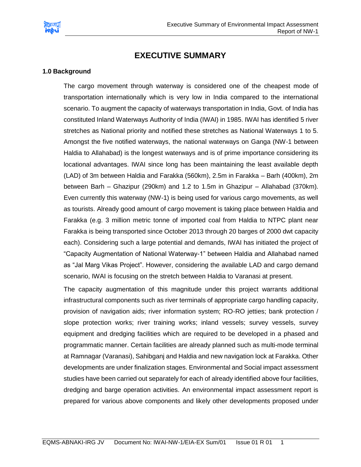

# **EXECUTIVE SUMMARY**

#### **1.0 Background**

The cargo movement through waterway is considered one of the cheapest mode of transportation internationally which is very low in India compared to the international scenario. To augment the capacity of waterways transportation in India, Govt. of India has constituted Inland Waterways Authority of India (IWAI) in 1985. IWAI has identified 5 river stretches as National priority and notified these stretches as National Waterways 1 to 5. Amongst the five notified waterways, the national waterways on Ganga (NW-1 between Haldia to Allahabad) is the longest waterways and is of prime importance considering its locational advantages. IWAI since long has been maintaining the least available depth (LAD) of 3m between Haldia and Farakka (560km), 2.5m in Farakka – Barh (400km), 2m between Barh – Ghazipur (290km) and 1.2 to 1.5m in Ghazipur – Allahabad (370km). Even currently this waterway (NW-1) is being used for various cargo movements, as well as tourists. Already good amount of cargo movement is taking place between Haldia and Farakka (e.g. 3 million metric tonne of imported coal from Haldia to NTPC plant near Farakka is being transported since October 2013 through 20 barges of 2000 dwt capacity each). Considering such a large potential and demands, IWAI has initiated the project of "Capacity Augmentation of National Waterway-1" between Haldia and Allahabad named as "Jal Marg Vikas Project". However, considering the available LAD and cargo demand scenario, IWAI is focusing on the stretch between Haldia to Varanasi at present.

The capacity augmentation of this magnitude under this project warrants additional infrastructural components such as river terminals of appropriate cargo handling capacity, provision of navigation aids; river information system; RO-RO jetties; bank protection / slope protection works; river training works; inland vessels; survey vessels, survey equipment and dredging facilities which are required to be developed in a phased and programmatic manner. Certain facilities are already planned such as multi-mode terminal at Ramnagar (Varanasi), Sahibganj and Haldia and new navigation lock at Farakka. Other developments are under finalization stages. Environmental and Social impact assessment studies have been carried out separately for each of already identified above four facilities, dredging and barge operation activities. An environmental impact assessment report is prepared for various above components and likely other developments proposed under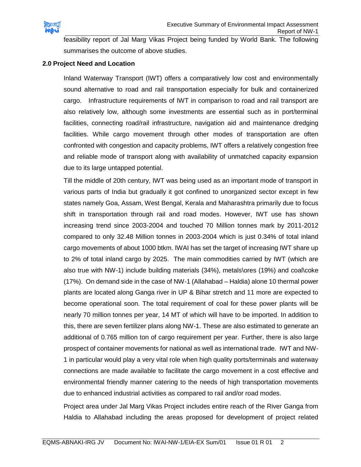

feasibility report of Jal Marg Vikas Project being funded by World Bank. The following summarises the outcome of above studies.

#### **2.0 Project Need and Location**

Inland Waterway Transport (IWT) offers a comparatively low cost and environmentally sound alternative to road and rail transportation especially for bulk and containerized cargo. Infrastructure requirements of IWT in comparison to road and rail transport are also relatively low, although some investments are essential such as in port/terminal facilities, connecting road/rail infrastructure, navigation aid and maintenance dredging facilities. While cargo movement through other modes of transportation are often confronted with congestion and capacity problems, IWT offers a relatively congestion free and reliable mode of transport along with availability of unmatched capacity expansion due to its large untapped potential.

Till the middle of 20th century, IWT was being used as an important mode of transport in various parts of India but gradually it got confined to unorganized sector except in few states namely Goa, Assam, West Bengal, Kerala and Maharashtra primarily due to focus shift in transportation through rail and road modes. However, IWT use has shown increasing trend since 2003-2004 and touched 70 Million tonnes mark by 2011-2012 compared to only 32.48 Million tonnes in 2003-2004 which is just 0.34% of total inland cargo movements of about 1000 btkm. IWAI has set the target of increasing IWT share up to 2% of total inland cargo by 2025. The main commodities carried by IWT (which are also true with NW-1) include building materials (34%), metals\ores (19%) and coal\coke (17%). On demand side in the case of NW-1 (Allahabad – Haldia) alone 10 thermal power plants are located along Ganga river in UP & Bihar stretch and 11 more are expected to become operational soon. The total requirement of coal for these power plants will be nearly 70 million tonnes per year, 14 MT of which will have to be imported. In addition to this, there are seven fertilizer plans along NW-1. These are also estimated to generate an additional of 0.765 million ton of cargo requirement per year. Further, there is also large prospect of container movements for national as well as international trade. IWT and NW-1 in particular would play a very vital role when high quality ports/terminals and waterway connections are made available to facilitate the cargo movement in a cost effective and environmental friendly manner catering to the needs of high transportation movements due to enhanced industrial activities as compared to rail and/or road modes.

Project area under Jal Marg Vikas Project includes entire reach of the River Ganga from Haldia to Allahabad including the areas proposed for development of project related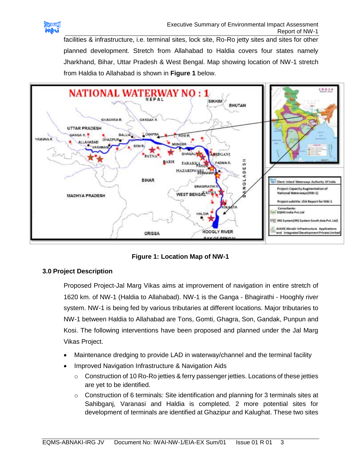

facilities & infrastructure, i.e. terminal sites, lock site, Ro-Ro jetty sites and sites for other planned development. Stretch from Allahabad to Haldia covers four states namely Jharkhand, Bihar, Uttar Pradesh & West Bengal. Map showing location of NW-1 stretch from Haldia to Allahabad is shown in **Figure 1** below.



**Figure 1: Location Map of NW-1**

# **3.0 Project Description**

Proposed Project-Jal Marg Vikas aims at improvement of navigation in entire stretch of 1620 km. of NW-1 (Haldia to Allahabad). NW-1 is the Ganga - Bhagirathi - Hooghly river system. NW-1 is being fed by various tributaries at different locations. Major tributaries to NW-1 between Haldia to Allahabad are Tons, Gomti, Ghagra, Son, Gandak, Punpun and Kosi. The following interventions have been proposed and planned under the Jal Marg Vikas Project.

- Maintenance dredging to provide LAD in waterway/channel and the terminal facility
- Improved Navigation Infrastructure & Navigation Aids
	- o Construction of 10 Ro-Ro jetties & ferry passenger jetties. Locations of these jetties are yet to be identified.
	- o Construction of 6 terminals: Site identification and planning for 3 terminals sites at Sahibganj, Varanasi and Haldia is completed. 2 more potential sites for development of terminals are identified at Ghazipur and Kalughat. These two sites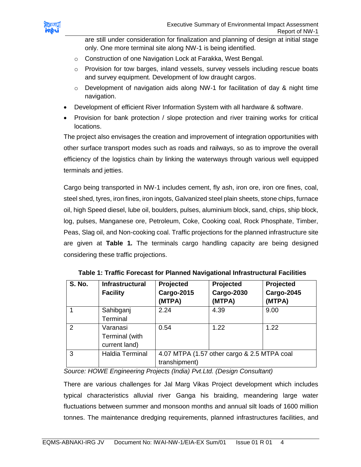

are still under consideration for finalization and planning of design at initial stage only. One more terminal site along NW-1 is being identified.

- o Construction of one Navigation Lock at Farakka, West Bengal.
- $\circ$  Provision for tow barges, inland vessels, survey vessels including rescue boats and survey equipment. Development of low draught cargos.
- $\circ$  Development of navigation aids along NW-1 for facilitation of day & night time navigation.
- Development of efficient River Information System with all hardware & software.
- Provision for bank protection / slope protection and river training works for critical locations.

The project also envisages the creation and improvement of integration opportunities with other surface transport modes such as roads and railways, so as to improve the overall efficiency of the logistics chain by linking the waterways through various well equipped terminals and jetties.

Cargo being transported in NW-1 includes cement, fly ash, iron ore, iron ore fines, coal, steel shed, tyres, iron fines, iron ingots, Galvanized steel plain sheets, stone chips, furnace oil, high Speed diesel, lube oil, boulders, pulses, aluminium block, sand, chips, ship block, log, pulses, Manganese ore, Petroleum, Coke, Cooking coal, Rock Phosphate, Timber, Peas, Slag oil, and Non-cooking coal. Traffic projections for the planned infrastructure site are given at **Table 1.** The terminals cargo handling capacity are being designed considering these traffic projections.

| <b>S. No.</b> | <b>Infrastructural</b><br><b>Facility</b>   | Projected<br><b>Cargo-2015</b><br>(MTPA)                     | Projected<br><b>Cargo-2030</b><br>(MTPA) | Projected<br><b>Cargo-2045</b><br>(MTPA) |
|---------------|---------------------------------------------|--------------------------------------------------------------|------------------------------------------|------------------------------------------|
|               | Sahibganj<br>Terminal                       | 2.24                                                         | 4.39                                     | 9.00                                     |
| 2             | Varanasi<br>Terminal (with<br>current land) | 0.54                                                         | 1.22                                     | 1.22                                     |
| 3             | Haldia Terminal                             | 4.07 MTPA (1.57 other cargo & 2.5 MTPA coal<br>transhipment) |                                          |                                          |

**Table 1: Traffic Forecast for Planned Navigational Infrastructural Facilities**

*Source: HOWE Engineering Projects (India) Pvt.Ltd. (Design Consultant)*

There are various challenges for Jal Marg Vikas Project development which includes typical characteristics alluvial river Ganga his braiding, meandering large water fluctuations between summer and monsoon months and annual silt loads of 1600 million tonnes. The maintenance dredging requirements, planned infrastructures facilities, and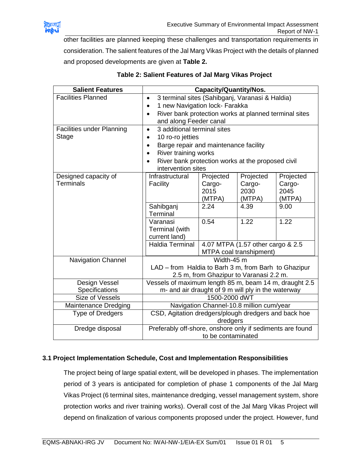

other facilities are planned keeping these challenges and transportation requirements in consideration. The salient features of the Jal Marg Vikas Project with the details of planned and proposed developments are given at **Table 2.**

| <b>Salient Features</b>                   | <b>Capacity/Quantity/Nos.</b>                                                                                                                                                                            |                                               |                                                              |                                               |  |
|-------------------------------------------|----------------------------------------------------------------------------------------------------------------------------------------------------------------------------------------------------------|-----------------------------------------------|--------------------------------------------------------------|-----------------------------------------------|--|
| <b>Facilities Planned</b>                 | 3 terminal sites (Sahibganj, Varanasi & Haldia)<br>$\bullet$<br>1 new Navigation lock- Farakka<br>River bank protection works at planned terminal sites<br>and along Feeder canal                        |                                               |                                                              |                                               |  |
| <b>Facilities under Planning</b><br>Stage | 3 additional terminal sites<br>10 ro-ro jetties<br>Barge repair and maintenance facility<br>$\bullet$<br>River training works<br>River bank protection works at the proposed civil<br>intervention sites |                                               |                                                              |                                               |  |
| Designed capacity of<br><b>Terminals</b>  | Infrastructural<br>Facility<br>Sahibganj<br>Terminal                                                                                                                                                     | Projected<br>Cargo-<br>2015<br>(MTPA)<br>2.24 | Projected<br>Cargo-<br>2030<br>(MTPA)<br>4.39                | Projected<br>Cargo-<br>2045<br>(MTPA)<br>9.00 |  |
|                                           | Varanasi<br>Terminal (with<br>current land)                                                                                                                                                              | 0.54                                          | 1.22                                                         | 1.22                                          |  |
|                                           | <b>Haldia Terminal</b>                                                                                                                                                                                   |                                               | 4.07 MTPA (1.57 other cargo & 2.5<br>MTPA coal transhipment) |                                               |  |
| <b>Navigation Channel</b>                 | Width-45 m<br>LAD - from Haldia to Barh 3 m, from Barh to Ghazipur<br>2.5 m, from Ghazipur to Varanasi 2.2 m.                                                                                            |                                               |                                                              |                                               |  |
| Design Vessel<br>Specifications           | Vessels of maximum length 85 m, beam 14 m, draught 2.5<br>m- and air draught of 9 m will ply in the waterway                                                                                             |                                               |                                                              |                                               |  |
| Size of Vessels                           | 1500-2000 dWT                                                                                                                                                                                            |                                               |                                                              |                                               |  |
| Maintenance Dredging                      | Navigation Channel-10.8 million cum/year                                                                                                                                                                 |                                               |                                                              |                                               |  |
| <b>Type of Dredgers</b>                   | CSD, Agitation dredgers/plough dredgers and back hoe<br>dredgers                                                                                                                                         |                                               |                                                              |                                               |  |
| Dredge disposal                           | Preferably off-shore, onshore only if sediments are found<br>to be contaminated                                                                                                                          |                                               |                                                              |                                               |  |

# **Table 2: Salient Features of Jal Marg Vikas Project**

# **3.1 Project Implementation Schedule, Cost and Implementation Responsibilities**

The project being of large spatial extent, will be developed in phases. The implementation period of 3 years is anticipated for completion of phase 1 components of the Jal Marg Vikas Project (6 terminal sites, maintenance dredging, vessel management system, shore protection works and river training works). Overall cost of the Jal Marg Vikas Project will depend on finalization of various components proposed under the project. However, fund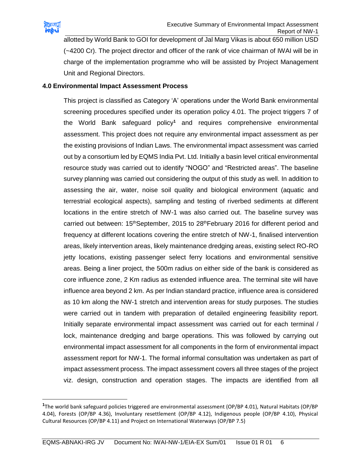

 $\overline{\phantom{a}}$ 

allotted by World Bank to GOI for development of Jal Marg Vikas is about 650 million USD (~4200 Cr). The project director and officer of the rank of vice chairman of IWAI will be in charge of the implementation programme who will be assisted by Project Management Unit and Regional Directors.

#### **4.0 Environmental Impact Assessment Process**

This project is classified as Category 'A' operations under the World Bank environmental screening procedures specified under its operation policy 4.01. The project triggers 7 of the World Bank safeguard policy**<sup>1</sup>** and requires comprehensive environmental assessment. This project does not require any environmental impact assessment as per the existing provisions of Indian Laws. The environmental impact assessment was carried out by a consortium led by EQMS India Pvt. Ltd. Initially a basin level critical environmental resource study was carried out to identify "NOGO" and "Restricted areas". The baseline survey planning was carried out considering the output of this study as well. In addition to assessing the air, water, noise soil quality and biological environment (aquatic and terrestrial ecological aspects), sampling and testing of riverbed sediments at different locations in the entire stretch of NW-1 was also carried out. The baseline survey was carried out between: 15<sup>th</sup>September, 2015 to 28<sup>th</sup>February 2016 for different period and frequency at different locations covering the entire stretch of NW-1, finalised intervention areas, likely intervention areas, likely maintenance dredging areas, existing select RO-RO jetty locations, existing passenger select ferry locations and environmental sensitive areas. Being a liner project, the 500m radius on either side of the bank is considered as core influence zone, 2 Km radius as extended influence area. The terminal site will have influence area beyond 2 km. As per Indian standard practice, influence area is considered as 10 km along the NW-1 stretch and intervention areas for study purposes. The studies were carried out in tandem with preparation of detailed engineering feasibility report. Initially separate environmental impact assessment was carried out for each terminal / lock, maintenance dredging and barge operations. This was followed by carrying out environmental impact assessment for all components in the form of environmental impact assessment report for NW-1. The formal informal consultation was undertaken as part of impact assessment process. The impact assessment covers all three stages of the project viz. design, construction and operation stages. The impacts are identified from all

**<sup>1</sup>** The world bank safeguard policies triggered are environmental assessment (OP/BP 4.01), Natural Habitats (OP/BP 4.04), Forests (OP/BP 4.36), Involuntary resettlement (OP/BP 4.12), Indigenous people (OP/BP 4.10), Physical Cultural Resources (OP/BP 4.11) and Project on International Waterways (OP/BP 7.5)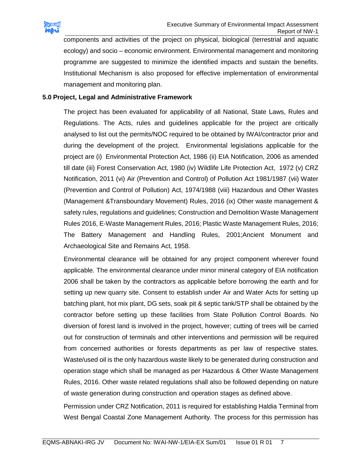

components and activities of the project on physical, biological (terrestrial and aquatic ecology) and socio – economic environment. Environmental management and monitoring programme are suggested to minimize the identified impacts and sustain the benefits. Institutional Mechanism is also proposed for effective implementation of environmental management and monitoring plan.

#### **5.0 Project, Legal and Administrative Framework**

The project has been evaluated for applicability of all National, State Laws, Rules and Regulations. The Acts, rules and guidelines applicable for the project are critically analysed to list out the permits/NOC required to be obtained by IWAI/contractor prior and during the development of the project. Environmental legislations applicable for the project are (i) Environmental Protection Act, 1986 (ii) EIA Notification, 2006 as amended till date (iii) Forest Conservation Act, 1980 (iv) Wildlife Life Protection Act, 1972 (v) CRZ Notification, 2011 (vi) Air (Prevention and Control) of Pollution Act 1981/1987 (vii) Water (Prevention and Control of Pollution) Act, 1974/1988 (viii) Hazardous and Other Wastes (Management &Transboundary Movement) Rules, 2016 (ix) Other waste management & safety rules, regulations and guidelines; Construction and Demolition Waste Management Rules 2016, E-Waste Management Rules, 2016; Plastic Waste Management Rules, 2016; The Battery Management and Handling Rules, 2001;Ancient Monument and Archaeological Site and Remains Act, 1958.

Environmental clearance will be obtained for any project component wherever found applicable. The environmental clearance under minor mineral category of EIA notification 2006 shall be taken by the contractors as applicable before borrowing the earth and for setting up new quarry site. Consent to establish under Air and Water Acts for setting up batching plant, hot mix plant, DG sets, soak pit & septic tank/STP shall be obtained by the contractor before setting up these facilities from State Pollution Control Boards. No diversion of forest land is involved in the project, however; cutting of trees will be carried out for construction of terminals and other interventions and permission will be required from concerned authorities or forests departments as per law of respective states. Waste/used oil is the only hazardous waste likely to be generated during construction and operation stage which shall be managed as per Hazardous & Other Waste Management Rules, 2016. Other waste related regulations shall also be followed depending on nature of waste generation during construction and operation stages as defined above.

Permission under CRZ Notification, 2011 is required for establishing Haldia Terminal from West Bengal Coastal Zone Management Authority. The process for this permission has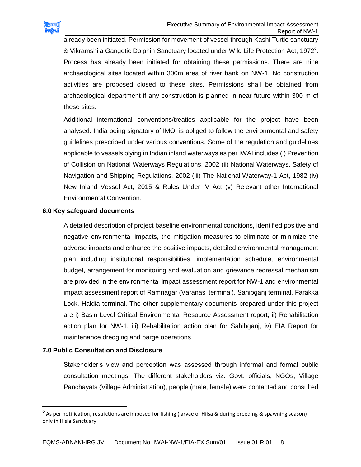

already been initiated. Permission for movement of vessel through Kashi Turtle sanctuary & Vikramshila Gangetic Dolphin Sanctuary located under Wild Life Protection Act, 1972**<sup>2</sup>** . Process has already been initiated for obtaining these permissions. There are nine archaeological sites located within 300m area of river bank on NW-1. No construction activities are proposed closed to these sites. Permissions shall be obtained from archaeological department if any construction is planned in near future within 300 m of these sites.

Additional international conventions/treaties applicable for the project have been analysed. India being signatory of IMO, is obliged to follow the environmental and safety guidelines prescribed under various conventions. Some of the regulation and guidelines applicable to vessels plying in Indian inland waterways as per IWAI includes (i) Prevention of Collision on National Waterways Regulations, 2002 (ii) National Waterways, Safety of Navigation and Shipping Regulations, 2002 (iii) The National Waterway-1 Act, 1982 (iv) New Inland Vessel Act, 2015 & Rules Under IV Act (v) Relevant other International Environmental Convention.

#### **6.0 Key safeguard documents**

A detailed description of project baseline environmental conditions, identified positive and negative environmental impacts, the mitigation measures to eliminate or minimize the adverse impacts and enhance the positive impacts, detailed environmental management plan including institutional responsibilities, implementation schedule, environmental budget, arrangement for monitoring and evaluation and grievance redressal mechanism are provided in the environmental impact assessment report for NW-1 and environmental impact assessment report of Ramnagar (Varanasi terminal), Sahibganj terminal, Farakka Lock, Haldia terminal. The other supplementary documents prepared under this project are i) Basin Level Critical Environmental Resource Assessment report; ii) Rehabilitation action plan for NW-1, iii) Rehabilitation action plan for Sahibganj, iv) EIA Report for maintenance dredging and barge operations

#### **7.0 Public Consultation and Disclosure**

 $\overline{a}$ 

Stakeholder's view and perception was assessed through informal and formal public consultation meetings. The different stakeholders viz. Govt. officials, NGOs, Village Panchayats (Village Administration), people (male, female) were contacted and consulted

**<sup>2</sup>** As per notification, restrictions are imposed for fishing (larvae of Hilsa & during breeding & spawning season) only in Hisla Sanctuary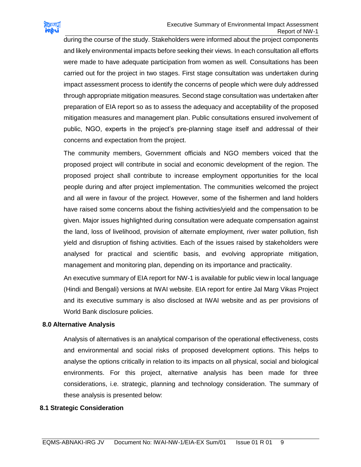

during the course of the study. Stakeholders were informed about the project components and likely environmental impacts before seeking their views. In each consultation all efforts were made to have adequate participation from women as well. Consultations has been carried out for the project in two stages. First stage consultation was undertaken during impact assessment process to identify the concerns of people which were duly addressed through appropriate mitigation measures. Second stage consultation was undertaken after preparation of EIA report so as to assess the adequacy and acceptability of the proposed mitigation measures and management plan. Public consultations ensured involvement of public, NGO, experts in the project's pre-planning stage itself and addressal of their concerns and expectation from the project.

The community members, Government officials and NGO members voiced that the proposed project will contribute in social and economic development of the region. The proposed project shall contribute to increase employment opportunities for the local people during and after project implementation. The communities welcomed the project and all were in favour of the project. However, some of the fishermen and land holders have raised some concerns about the fishing activities/yield and the compensation to be given. Major issues highlighted during consultation were adequate compensation against the land, loss of livelihood, provision of alternate employment, river water pollution, fish yield and disruption of fishing activities. Each of the issues raised by stakeholders were analysed for practical and scientific basis, and evolving appropriate mitigation, management and monitoring plan, depending on its importance and practicality.

An executive summary of EIA report for NW-1 is available for public view in local language (Hindi and Bengali) versions at IWAI website. EIA report for entire Jal Marg Vikas Project and its executive summary is also disclosed at IWAI website and as per provisions of World Bank disclosure policies.

#### **8.0 Alternative Analysis**

Analysis of alternatives is an analytical comparison of the operational effectiveness, costs and environmental and social risks of proposed development options. This helps to analyse the options critically in relation to its impacts on all physical, social and biological environments. For this project, alternative analysis has been made for three considerations, i.e. strategic, planning and technology consideration. The summary of these analysis is presented below:

#### **8.1 Strategic Consideration**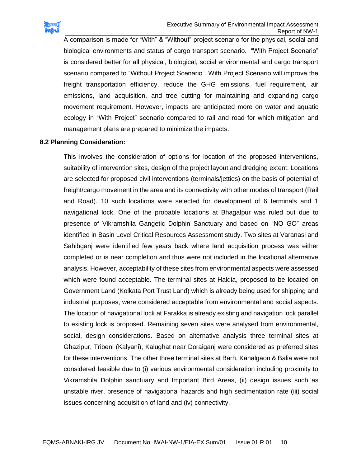

A comparison is made for "With" & "Without" project scenario for the physical, social and biological environments and status of cargo transport scenario. "With Project Scenario" is considered better for all physical, biological, social environmental and cargo transport scenario compared to "Without Project Scenario". With Project Scenario will improve the freight transportation efficiency, reduce the GHG emissions, fuel requirement, air emissions, land acquisition, and tree cutting for maintaining and expanding cargo movement requirement. However, impacts are anticipated more on water and aquatic ecology in "With Project" scenario compared to rail and road for which mitigation and management plans are prepared to minimize the impacts.

#### **8.2 Planning Consideration:**

This involves the consideration of options for location of the proposed interventions, suitability of intervention sites, design of the project layout and dredging extent. Locations are selected for proposed civil interventions (terminals/jetties) on the basis of potential of freight/cargo movement in the area and its connectivity with other modes of transport (Rail and Road). 10 such locations were selected for development of 6 terminals and 1 navigational lock. One of the probable locations at Bhagalpur was ruled out due to presence of Vikramshila Gangetic Dolphin Sanctuary and based on "NO GO" areas identified in Basin Level Critical Resources Assessment study. Two sites at Varanasi and Sahibganj were identified few years back where land acquisition process was either completed or is near completion and thus were not included in the locational alternative analysis. However, acceptability of these sites from environmental aspects were assessed which were found acceptable. The terminal sites at Haldia, proposed to be located on Government Land (Kolkata Port Trust Land) which is already being used for shipping and industrial purposes, were considered acceptable from environmental and social aspects. The location of navigational lock at Farakka is already existing and navigation lock parallel to existing lock is proposed. Remaining seven sites were analysed from environmental, social, design considerations. Based on alternative analysis three terminal sites at Ghazipur, Tribeni (Kalyani), Kalughat near Doraiganj were considered as preferred sites for these interventions. The other three terminal sites at Barh, Kahalgaon & Balia were not considered feasible due to (i) various environmental consideration including proximity to Vikramshila Dolphin sanctuary and Important Bird Areas, (ii) design issues such as unstable river, presence of navigational hazards and high sedimentation rate (iii) social issues concerning acquisition of land and (iv) connectivity.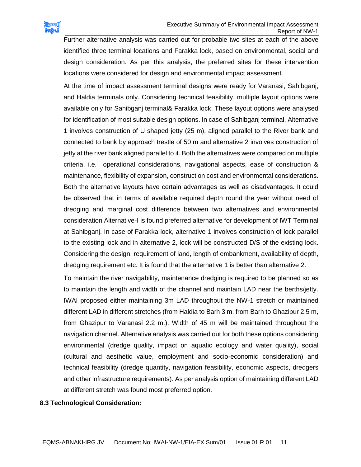

Further alternative analysis was carried out for probable two sites at each of the above identified three terminal locations and Farakka lock, based on environmental, social and design consideration. As per this analysis, the preferred sites for these intervention locations were considered for design and environmental impact assessment.

At the time of impact assessment terminal designs were ready for Varanasi, Sahibganj, and Haldia terminals only. Considering technical feasibility, multiple layout options were available only for Sahibganj terminal& Farakka lock. These layout options were analysed for identification of most suitable design options. In case of Sahibganj terminal, Alternative 1 involves construction of U shaped jetty (25 m), aligned parallel to the River bank and connected to bank by approach trestle of 50 m and alternative 2 involves construction of jetty at the river bank aligned parallel to it. Both the alternatives were compared on multiple criteria, i.e. operational considerations, navigational aspects, ease of construction & maintenance, flexibility of expansion, construction cost and environmental considerations. Both the alternative layouts have certain advantages as well as disadvantages. It could be observed that in terms of available required depth round the year without need of dredging and marginal cost difference between two alternatives and environmental consideration Alternative-I is found preferred alternative for development of IWT Terminal at Sahibganj. In case of Farakka lock, alternative 1 involves construction of lock parallel to the existing lock and in alternative 2, lock will be constructed D/S of the existing lock. Considering the design, requirement of land, length of embankment, availability of depth, dredging requirement etc. It is found that the alternative 1 is better than alternative 2.

To maintain the river navigability, maintenance dredging is required to be planned so as to maintain the length and width of the channel and maintain LAD near the berths/jetty. IWAI proposed either maintaining 3m LAD throughout the NW-1 stretch or maintained different LAD in different stretches (from Haldia to Barh 3 m, from Barh to Ghazipur 2.5 m, from Ghazipur to Varanasi 2.2 m.). Width of 45 m will be maintained throughout the navigation channel. Alternative analysis was carried out for both these options considering environmental (dredge quality, impact on aquatic ecology and water quality), social (cultural and aesthetic value, employment and socio-economic consideration) and technical feasibility (dredge quantity, navigation feasibility, economic aspects, dredgers and other infrastructure requirements). As per analysis option of maintaining different LAD at different stretch was found most preferred option.

#### **8.3 Technological Consideration:**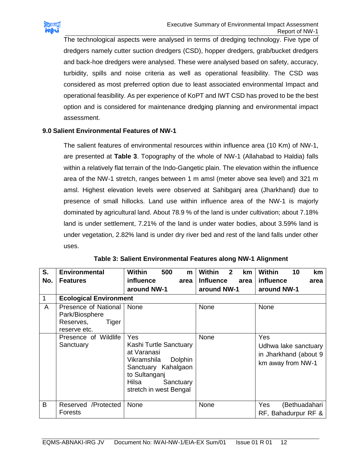

The technological aspects were analysed in terms of dredging technology. Five type of dredgers namely cutter suction dredgers (CSD), hopper dredgers, grab/bucket dredgers and back-hoe dredgers were analysed. These were analysed based on safety, accuracy, turbidity, spills and noise criteria as well as operational feasibility. The CSD was considered as most preferred option due to least associated environmental Impact and operational feasibility. As per experience of KoPT and IWT CSD has proved to be the best option and is considered for maintenance dredging planning and environmental impact assessment.

#### **9.0 Salient Environmental Features of NW-1**

The salient features of environmental resources within influence area (10 Km) of NW-1, are presented at **Table 3**. Topography of the whole of NW-1 (Allahabad to Haldia) falls within a relatively flat terrain of the Indo-Gangetic plain. The elevation within the influence area of the NW-1 stretch, ranges between 1 m amsl (meter above sea level) and 321 m amsl. Highest elevation levels were observed at Sahibganj area (Jharkhand) due to presence of small hillocks. Land use within influence area of the NW-1 is majorly dominated by agricultural land. About 78.9 % of the land is under cultivation; about 7.18% land is under settlement, 7.21% of the land is under water bodies, about 3.59% land is under vegetation, 2.82% land is under dry river bed and rest of the land falls under other uses.

| S.  | <b>Environmental</b>                                                         | <b>Within</b><br>500<br>m                                                                                                                                             | <b>Within</b><br>$\mathbf{2}$<br><b>km</b> | Within<br>10<br>km                                                        |
|-----|------------------------------------------------------------------------------|-----------------------------------------------------------------------------------------------------------------------------------------------------------------------|--------------------------------------------|---------------------------------------------------------------------------|
| No. | <b>Features</b>                                                              | <b>influence</b><br>area                                                                                                                                              | <b>Influence</b><br>area                   | influence<br>area                                                         |
|     |                                                                              | around NW-1                                                                                                                                                           | around NW-1                                | around NW-1                                                               |
| 1   | <b>Ecological Environment</b>                                                |                                                                                                                                                                       |                                            |                                                                           |
| A   | Presence of National<br>Park/Biosphere<br>Tiger<br>Reserves,<br>reserve etc. | None                                                                                                                                                                  | None                                       | None                                                                      |
|     | Presence of Wildlife<br>Sanctuary                                            | Yes<br>Kashi Turtle Sanctuary<br>at Varanasi<br><b>Dolphin</b><br>Vikramshila<br>Sanctuary Kahalgaon<br>to Sultanganj<br>Hilsa<br>Sanctuary<br>stretch in west Bengal | None                                       | Yes<br>Udhwa lake sanctuary<br>in Jharkhand (about 9<br>km away from NW-1 |
| B   | Reserved /Protected<br>Forests                                               | None                                                                                                                                                                  | None                                       | <b>Yes</b><br>(Bethuadahari<br>RF, Bahadurpur RF &                        |

| Table 3: Salient Environmental Features along NW-1 Alignment |  |  |
|--------------------------------------------------------------|--|--|
|--------------------------------------------------------------|--|--|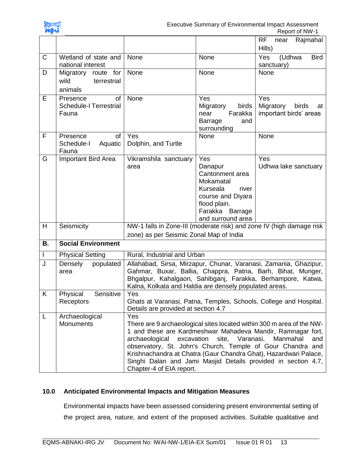

|           |                                                          |                                                                                                                                                                                                                                                                                                                                                                                                                                                     |                                                                                                                                                  | <b>RF</b><br>Rajmahal<br>near<br>Hills)                              |
|-----------|----------------------------------------------------------|-----------------------------------------------------------------------------------------------------------------------------------------------------------------------------------------------------------------------------------------------------------------------------------------------------------------------------------------------------------------------------------------------------------------------------------------------------|--------------------------------------------------------------------------------------------------------------------------------------------------|----------------------------------------------------------------------|
| C         | Wetland of state and<br>national interest                | None                                                                                                                                                                                                                                                                                                                                                                                                                                                | None                                                                                                                                             | (Udhwa<br>Yes<br><b>Bird</b><br>sanctuary)                           |
| D         | Migratory route for<br>wild<br>terrestrial<br>animals    | None                                                                                                                                                                                                                                                                                                                                                                                                                                                | None                                                                                                                                             | None                                                                 |
| E         | of<br>Presence<br><b>Schedule-I Terrestrial</b><br>Fauna | None                                                                                                                                                                                                                                                                                                                                                                                                                                                | Yes<br>birds<br>Migratory<br>Farakka<br>near<br><b>Barrage</b><br>and<br>surrounding                                                             | Yes<br>Migratory<br>birds<br>at<br>important birds' areas            |
| F         | of<br>Presence<br>Aquatic<br>Schedule-I<br>Fauna         | Yes<br>Dolphin, and Turtle                                                                                                                                                                                                                                                                                                                                                                                                                          | None                                                                                                                                             | None                                                                 |
| G         | Important Bird Area                                      | Vikramshila sanctuary<br>area                                                                                                                                                                                                                                                                                                                                                                                                                       | Yes<br>Danapur<br>Cantonment area<br>Mokamatal<br>Kurseala<br>river<br>course and Diyara<br>flood plain.<br>Farakka Barrage<br>and surround area | Yes<br>Udhwa lake sanctuary                                          |
| H         | Seismicity                                               | zone) as per Seismic Zonal Map of India                                                                                                                                                                                                                                                                                                                                                                                                             |                                                                                                                                                  | NW-1 falls in Zone-III (moderate risk) and zone IV (high damage risk |
| <b>B.</b> | <b>Social Environment</b>                                |                                                                                                                                                                                                                                                                                                                                                                                                                                                     |                                                                                                                                                  |                                                                      |
| T         | <b>Physical Setting</b>                                  | Rural, Industrial and Urban                                                                                                                                                                                                                                                                                                                                                                                                                         |                                                                                                                                                  |                                                                      |
| J         | Densely<br>populated<br>area                             | Allahabad, Sirsa, Mirzapur, Chunar, Varanasi, Zamania, Ghazipur,<br>Gahmar, Buxar, Ballia, Chappra, Patna, Barh, Bihat, Munger,<br>Bhgalpur, Kahalgaon, Sahibganj, Farakka, Berhampore, Katwa,<br>Kalna, Kolkata and Haldia are densely populated areas.                                                                                                                                                                                            |                                                                                                                                                  |                                                                      |
| K         | Physical<br>Sensitive<br>Receptors                       | Yes<br>Ghats at Varanasi, Patna, Temples, Schools, College and Hospital.<br>Details are provided at section 4.7                                                                                                                                                                                                                                                                                                                                     |                                                                                                                                                  |                                                                      |
| L         | Archaeological<br><b>Monuments</b>                       | Yes<br>There are 9 archaeological sites located within 300 m area of the NW-<br>1 and these are Kardmeshwar Mahadeva Mandir, Ramnagar fort,<br>excavation<br>Varanasi,<br>Manmahal<br>archaeological<br>site,<br>and<br>observatory, St. John's Church, Temple of Gour Chandra and<br>Krishnachandra at Chatra (Gaur Chandra Ghat), Hazardwari Palace,<br>Singhi Dalan and Jami Masjid Details provided in section 4.7,<br>Chapter-4 of EIA report. |                                                                                                                                                  |                                                                      |

# **10.0 Anticipated Environmental Impacts and Mitigation Measures**

Environmental impacts have been assessed considering present environmental setting of the project area, nature, and extent of the proposed activities. Suitable qualitative and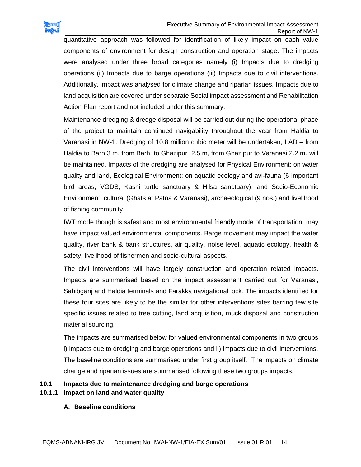

quantitative approach was followed for identification of likely impact on each value components of environment for design construction and operation stage. The impacts were analysed under three broad categories namely (i) Impacts due to dredging operations (ii) Impacts due to barge operations (iii) Impacts due to civil interventions. Additionally, impact was analysed for climate change and riparian issues. Impacts due to land acquisition are covered under separate Social impact assessment and Rehabilitation Action Plan report and not included under this summary.

Maintenance dredging & dredge disposal will be carried out during the operational phase of the project to maintain continued navigability throughout the year from Haldia to Varanasi in NW-1. Dredging of 10.8 million cubic meter will be undertaken, LAD – from Haldia to Barh 3 m, from Barh to Ghazipur 2.5 m, from Ghazipur to Varanasi 2.2 m. will be maintained. Impacts of the dredging are analysed for Physical Environment: on water quality and land, Ecological Environment: on aquatic ecology and avi-fauna (6 Important bird areas, VGDS, Kashi turtle sanctuary & Hilsa sanctuary), and Socio-Economic Environment: cultural (Ghats at Patna & Varanasi), archaeological (9 nos.) and livelihood of fishing community

IWT mode though is safest and most environmental friendly mode of transportation, may have impact valued environmental components. Barge movement may impact the water quality, river bank & bank structures, air quality, noise level, aquatic ecology, health & safety, livelihood of fishermen and socio-cultural aspects.

The civil interventions will have largely construction and operation related impacts. Impacts are summarised based on the impact assessment carried out for Varanasi, Sahibganj and Haldia terminals and Farakka navigational lock. The impacts identified for these four sites are likely to be the similar for other interventions sites barring few site specific issues related to tree cutting, land acquisition, muck disposal and construction material sourcing.

The impacts are summarised below for valued environmental components in two groups i) impacts due to dredging and barge operations and ii) impacts due to civil interventions. The baseline conditions are summarised under first group itself. The impacts on climate change and riparian issues are summarised following these two groups impacts.

# **10.1 Impacts due to maintenance dredging and barge operations**

# **10.1.1 Impact on land and water quality**

# **A. Baseline conditions**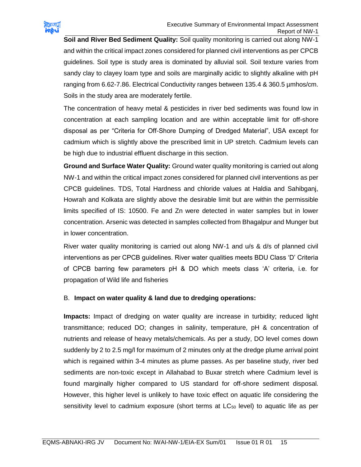

**Soil and River Bed Sediment Quality:** Soil quality monitoring is carried out along NW-1 and within the critical impact zones considered for planned civil interventions as per CPCB guidelines. Soil type is study area is dominated by alluvial soil. Soil texture varies from sandy clay to clayey loam type and soils are marginally acidic to slightly alkaline with pH ranging from 6.62-7.86. Electrical Conductivity ranges between 135.4 & 360.5 µmhos/cm. Soils in the study area are moderately fertile.

The concentration of heavy metal & pesticides in river bed sediments was found low in concentration at each sampling location and are within acceptable limit for off-shore disposal as per "Criteria for Off-Shore Dumping of Dredged Material", USA except for cadmium which is slightly above the prescribed limit in UP stretch. Cadmium levels can be high due to industrial effluent discharge in this section.

**Ground and Surface Water Quality:** Ground water quality monitoring is carried out along NW-1 and within the critical impact zones considered for planned civil interventions as per CPCB guidelines. TDS, Total Hardness and chloride values at Haldia and Sahibganj, Howrah and Kolkata are slightly above the desirable limit but are within the permissible limits specified of IS: 10500. Fe and Zn were detected in water samples but in lower concentration. Arsenic was detected in samples collected from Bhagalpur and Munger but in lower concentration.

River water quality monitoring is carried out along NW-1 and u/s & d/s of planned civil interventions as per CPCB guidelines. River water qualities meets BDU Class 'D' Criteria of CPCB barring few parameters pH & DO which meets class 'A' criteria, i.e. for propagation of Wild life and fisheries

#### B. **Impact on water quality & land due to dredging operations:**

**Impacts:** Impact of dredging on water quality are increase in turbidity; reduced light transmittance; reduced DO; changes in salinity, temperature, pH & concentration of nutrients and release of heavy metals/chemicals. As per a study, DO level comes down suddenly by 2 to 2.5 mg/l for maximum of 2 minutes only at the dredge plume arrival point which is regained within 3-4 minutes as plume passes. As per baseline study, river bed sediments are non-toxic except in Allahabad to Buxar stretch where Cadmium level is found marginally higher compared to US standard for off-shore sediment disposal. However, this higher level is unlikely to have toxic effect on aquatic life considering the sensitivity level to cadmium exposure (short terms at  $LC_{50}$  level) to aquatic life as per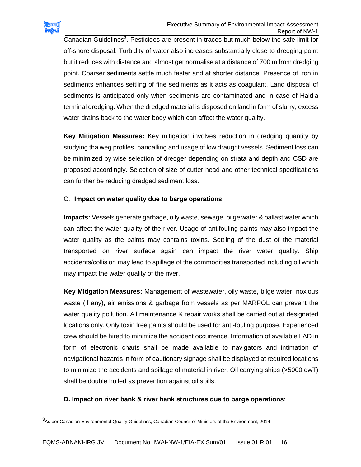

 $\overline{\phantom{a}}$ 

Canadian Guidelines<sup>3</sup>. Pesticides are present in traces but much below the safe limit for off-shore disposal. Turbidity of water also increases substantially close to dredging point but it reduces with distance and almost get normalise at a distance of 700 m from dredging point. Coarser sediments settle much faster and at shorter distance. Presence of iron in sediments enhances settling of fine sediments as it acts as coagulant. Land disposal of sediments is anticipated only when sediments are contaminated and in case of Haldia terminal dredging. When the dredged material is disposed on land in form of slurry, excess water drains back to the water body which can affect the water quality.

**Key Mitigation Measures:** Key mitigation involves reduction in dredging quantity by studying thalweg profiles, bandalling and usage of low draught vessels. Sediment loss can be minimized by wise selection of dredger depending on strata and depth and CSD are proposed accordingly. Selection of size of cutter head and other technical specifications can further be reducing dredged sediment loss.

#### C. **Impact on water quality due to barge operations:**

**Impacts:** Vessels generate garbage, oily waste, sewage, bilge water & ballast water which can affect the water quality of the river. Usage of antifouling paints may also impact the water quality as the paints may contains toxins. Settling of the dust of the material transported on river surface again can impact the river water quality. Ship accidents/collision may lead to spillage of the commodities transported including oil which may impact the water quality of the river.

**Key Mitigation Measures:** Management of wastewater, oily waste, bilge water, noxious waste (if any), air emissions & garbage from vessels as per MARPOL can prevent the water quality pollution. All maintenance & repair works shall be carried out at designated locations only. Only toxin free paints should be used for anti-fouling purpose. Experienced crew should be hired to minimize the accident occurrence. Information of available LAD in form of electronic charts shall be made available to navigators and intimation of navigational hazards in form of cautionary signage shall be displayed at required locations to minimize the accidents and spillage of material in river. Oil carrying ships (>5000 dwT) shall be double hulled as prevention against oil spills.

#### **D. Impact on river bank & river bank structures due to barge operations**:

**<sup>3</sup>**As per Canadian Environmental Quality Guidelines, Canadian Council of Ministers of the Environment, 2014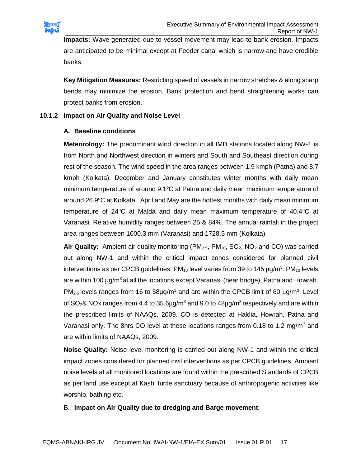

**Impacts:** Wave generated due to vessel movement may lead to bank erosion. Impacts are anticipated to be minimal except at Feeder canal which is narrow and have erodible banks.

**Key Mitigation Measures:** Restricting speed of vessels in narrow stretches & along sharp bends may minimize the erosion. Bank protection and bend straightening works can protect banks from erosion.

#### **10.1.2 Impact on Air Quality and Noise Level**

#### **A. Baseline conditions**

**Meteorology:** The predominant wind direction in all IMD stations located along NW-1 is from North and Northwest direction in winters and South and Southeast direction during rest of the season. The wind speed in the area ranges between 1.9 kmph (Patna) and 8.7 kmph (Kolkata). December and January constitutes winter months with daily mean minimum temperature of around 9.1°C at Patna and daily mean maximum temperature of around 26.9 $\degree$ C at Kolkata. April and May are the hottest months with daily mean minimum temperature of 24 $\degree$ C at Malda and daily mean maximum temperature of 40.4 $\degree$ C at Varanasi. Relative humidity ranges between 25 & 84%. The annual rainfall in the project area ranges between 1000.3 mm (Varanasi) and 1728.5 mm (Kolkata).

Air Quality: Ambient air quality monitoring (PM<sub>2.5</sub>, PM<sub>10</sub>, SO<sub>2</sub>, NO<sub>2</sub> and CO) was carried out along NW-1 and within the critical impact zones considered for planned civil interventions as per CPCB guidelines. PM<sub>10</sub> level varies from 39 to 145  $\mu$ g/m<sup>3</sup>. PM<sub>10</sub> levels are within 100 µg/m<sup>3</sup> at all the locations except Varanasi (near bridge), Patna and Howrah.  $PM_{2.5}$  levels ranges from 16 to 58 $\mu$ g/m<sup>3</sup> and are within the CPCB limit of 60  $\mu$ g/m<sup>3</sup>. Level of SO<sub>2</sub>& NOx ranges from 4.4 to 35.6µg/m<sup>3</sup> and 9.0 to 48µg/m<sup>3</sup> respectively and are within the prescribed limits of NAAQs, 2009. CO is detected at Haldia, Howrah, Patna and Varanasi only. The 8hrs CO level at these locations ranges from 0.18 to 1.2 mg/m<sup>3</sup> and are within limits of NAAQs, 2009.

**Noise Quality:** Noise level monitoring is carried out along NW-1 and within the critical impact zones considered for planned civil interventions as per CPCB guidelines. Ambient noise levels at all monitored locations are found within the prescribed Standards of CPCB as per land use except at Kashi turtle sanctuary because of anthropogenic activities like worship, bathing etc.

#### B. **Impact on Air Quality due to dredging and Barge movement**: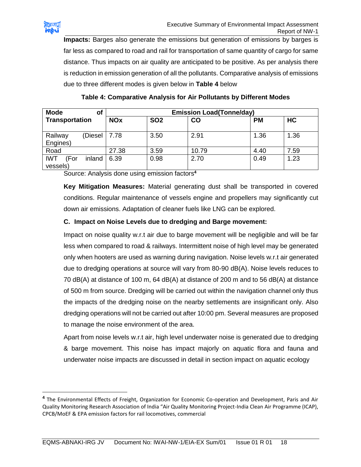

 $\overline{a}$ 

**Impacts:** Barges also generate the emissions but generation of emissions by barges is far less as compared to road and rail for transportation of same quantity of cargo for same distance. Thus impacts on air quality are anticipated to be positive. As per analysis there is reduction in emission generation of all the pollutants. Comparative analysis of emissions due to three different modes is given below in **Table 4** below

| <b>Mode</b><br>οf                        |            |            | <b>Emission Load(Tonne/day)</b> |           |      |  |  |  |
|------------------------------------------|------------|------------|---------------------------------|-----------|------|--|--|--|
| Transportation                           | <b>NOx</b> | <b>SO2</b> | CO                              | <b>PM</b> | HC   |  |  |  |
| Railway<br>(Diesel  <br>Engines)         | 7.78       | 3.50       | 2.91                            | 1.36      | 1.36 |  |  |  |
| Road                                     | 27.38      | 3.59       | 10.79                           | 4.40      | 7.59 |  |  |  |
| <b>IWT</b><br>(For<br>inland<br>vessels) | 6.39       | 0.98       | 2.70                            | 0.49      | 1.23 |  |  |  |

**Table 4: Comparative Analysis for Air Pollutants by Different Modes**

Source: Analysis done using emission factors**<sup>4</sup>**

**Key Mitigation Measures:** Material generating dust shall be transported in covered conditions. Regular maintenance of vessels engine and propellers may significantly cut down air emissions. Adaptation of cleaner fuels like LNG can be explored.

#### **C. Impact on Noise Levels due to dredging and Barge movement:**

Impact on noise quality w.r.t air due to barge movement will be negligible and will be far less when compared to road & railways. Intermittent noise of high level may be generated only when hooters are used as warning during navigation. Noise levels w.r.t air generated due to dredging operations at source will vary from 80-90 dB(A). Noise levels reduces to 70 dB(A) at distance of 100 m, 64 dB(A) at distance of 200 m and to 56 dB(A) at distance of 500 m from source. Dredging will be carried out within the navigation channel only thus the impacts of the dredging noise on the nearby settlements are insignificant only. Also dredging operations will not be carried out after 10:00 pm. Several measures are proposed to manage the noise environment of the area.

Apart from noise levels w.r.t air, high level underwater noise is generated due to dredging & barge movement. This noise has impact majorly on aquatic flora and fauna and underwater noise impacts are discussed in detail in section impact on aquatic ecology

**<sup>4</sup>** The Environmental Effects of Freight, Organization for Economic Co-operation and Development, Paris and Air Quality Monitoring Research Association of India "Air Quality Monitoring Project-India Clean Air Programme (ICAP), CPCB/MoEF & EPA emission factors for rail locomotives, commercial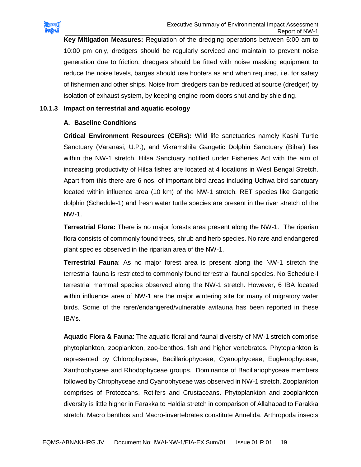

**Key Mitigation Measures:** Regulation of the dredging operations between 6:00 am to 10:00 pm only, dredgers should be regularly serviced and maintain to prevent noise generation due to friction, dredgers should be fitted with noise masking equipment to reduce the noise levels, barges should use hooters as and when required, i.e. for safety of fishermen and other ships. Noise from dredgers can be reduced at source (dredger) by isolation of exhaust system, by keeping engine room doors shut and by shielding.

#### **10.1.3 Impact on terrestrial and aquatic ecology**

#### **A. Baseline Conditions**

**Critical Environment Resources (CERs):** Wild life sanctuaries namely Kashi Turtle Sanctuary (Varanasi, U.P.), and Vikramshila Gangetic Dolphin Sanctuary (Bihar) lies within the NW-1 stretch. Hilsa Sanctuary notified under Fisheries Act with the aim of increasing productivity of Hilsa fishes are located at 4 locations in West Bengal Stretch. Apart from this there are 6 nos. of important bird areas including Udhwa bird sanctuary located within influence area (10 km) of the NW-1 stretch. RET species like Gangetic dolphin (Schedule-1) and fresh water turtle species are present in the river stretch of the NW-1.

**Terrestrial Flora:** There is no major forests area present along the NW-1. The riparian flora consists of commonly found trees, shrub and herb species. No rare and endangered plant species observed in the riparian area of the NW-1.

**Terrestrial Fauna**: As no major forest area is present along the NW-1 stretch the terrestrial fauna is restricted to commonly found terrestrial faunal species. No Schedule-I terrestrial mammal species observed along the NW-1 stretch. However, 6 IBA located within influence area of NW-1 are the major wintering site for many of migratory water birds. Some of the rarer/endangered/vulnerable avifauna has been reported in these IBA's.

**Aquatic Flora & Fauna**: The aquatic floral and faunal diversity of NW-1 stretch comprise phytoplankton, zooplankton, zoo-benthos, fish and higher vertebrates. Phytoplankton is represented by Chlorophyceae, Bacillariophyceae, Cyanophyceae, Euglenophyceae, Xanthophyceae and Rhodophyceae groups. Dominance of Bacillariophyceae members followed by Chrophyceae and Cyanophyceae was observed in NW-1 stretch. Zooplankton comprises of Protozoans, Rotifers and Crustaceans. Phytoplankton and zooplankton diversity is little higher in Farakka to Haldia stretch in comparison of Allahabad to Farakka stretch. Macro benthos and Macro-invertebrates constitute Annelida, Arthropoda insects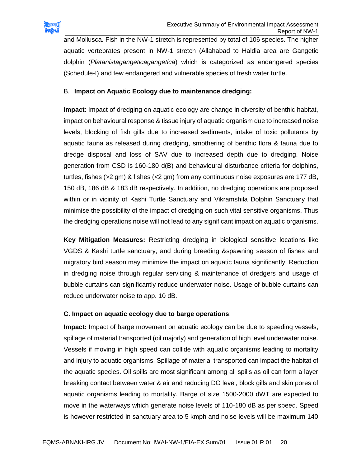

and Mollusca. Fish in the NW-1 stretch is represented by total of 106 species. The higher aquatic vertebrates present in NW-1 stretch (Allahabad to Haldia area are Gangetic dolphin (*Platanistagangeticagangetica*) which is categorized as endangered species (Schedule-I) and few endangered and vulnerable species of fresh water turtle.

#### B. **Impact on Aquatic Ecology due to maintenance dredging:**

**Impact**: Impact of dredging on aquatic ecology are change in diversity of benthic habitat, impact on behavioural response & tissue injury of aquatic organism due to increased noise levels, blocking of fish gills due to increased sediments, intake of toxic pollutants by aquatic fauna as released during dredging, smothering of benthic flora & fauna due to dredge disposal and loss of SAV due to increased depth due to dredging. Noise generation from CSD is 160-180 d(B) and behavioural disturbance criteria for dolphins, turtles, fishes (>2 gm) & fishes (<2 gm) from any continuous noise exposures are 177 dB, 150 dB, 186 dB & 183 dB respectively. In addition, no dredging operations are proposed within or in vicinity of Kashi Turtle Sanctuary and Vikramshila Dolphin Sanctuary that minimise the possibility of the impact of dredging on such vital sensitive organisms. Thus the dredging operations noise will not lead to any significant impact on aquatic organisms.

**Key Mitigation Measures:** Restricting dredging in biological sensitive locations like VGDS & Kashi turtle sanctuary; and during breeding &spawning season of fishes and migratory bird season may minimize the impact on aquatic fauna significantly. Reduction in dredging noise through regular servicing & maintenance of dredgers and usage of bubble curtains can significantly reduce underwater noise. Usage of bubble curtains can reduce underwater noise to app. 10 dB.

#### **C. Impact on aquatic ecology due to barge operations**:

**Impact:** Impact of barge movement on aquatic ecology can be due to speeding vessels, spillage of material transported (oil majorly) and generation of high level underwater noise. Vessels if moving in high speed can collide with aquatic organisms leading to mortality and injury to aquatic organisms. Spillage of material transported can impact the habitat of the aquatic species. Oil spills are most significant among all spills as oil can form a layer breaking contact between water & air and reducing DO level, block gills and skin pores of aquatic organisms leading to mortality. Barge of size 1500-2000 dWT are expected to move in the waterways which generate noise levels of 110-180 dB as per speed. Speed is however restricted in sanctuary area to 5 kmph and noise levels will be maximum 140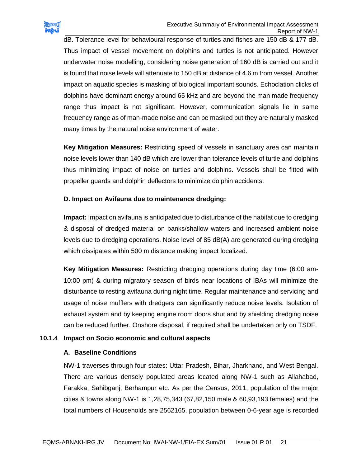

dB. Tolerance level for behavioural response of turtles and fishes are 150 dB & 177 dB. Thus impact of vessel movement on dolphins and turtles is not anticipated. However underwater noise modelling, considering noise generation of 160 dB is carried out and it is found that noise levels will attenuate to 150 dB at distance of 4.6 m from vessel. Another impact on aquatic species is masking of biological important sounds. Echoclation clicks of dolphins have dominant energy around 65 kHz and are beyond the man made frequency range thus impact is not significant. However, communication signals lie in same frequency range as of man-made noise and can be masked but they are naturally masked many times by the natural noise environment of water.

**Key Mitigation Measures:** Restricting speed of vessels in sanctuary area can maintain noise levels lower than 140 dB which are lower than tolerance levels of turtle and dolphins thus minimizing impact of noise on turtles and dolphins. Vessels shall be fitted with propeller guards and dolphin deflectors to minimize dolphin accidents.

#### **D. Impact on Avifauna due to maintenance dredging:**

**Impact:** Impact on avifauna is anticipated due to disturbance of the habitat due to dredging & disposal of dredged material on banks/shallow waters and increased ambient noise levels due to dredging operations. Noise level of 85 dB(A) are generated during dredging which dissipates within 500 m distance making impact localized.

**Key Mitigation Measures:** Restricting dredging operations during day time (6:00 am-10:00 pm) & during migratory season of birds near locations of IBAs will minimize the disturbance to resting avifauna during night time. Regular maintenance and servicing and usage of noise mufflers with dredgers can significantly reduce noise levels. Isolation of exhaust system and by keeping engine room doors shut and by shielding dredging noise can be reduced further. Onshore disposal, if required shall be undertaken only on TSDF.

#### **10.1.4 Impact on Socio economic and cultural aspects**

#### **A. Baseline Conditions**

NW-1 traverses through four states: Uttar Pradesh, Bihar, Jharkhand, and West Bengal. There are various densely populated areas located along NW-1 such as Allahabad, Farakka, Sahibganj, Berhampur etc. As per the Census, 2011, population of the major cities & towns along NW-1 is 1,28,75,343 (67,82,150 male & 60,93,193 females) and the total numbers of Households are 2562165, population between 0-6-year age is recorded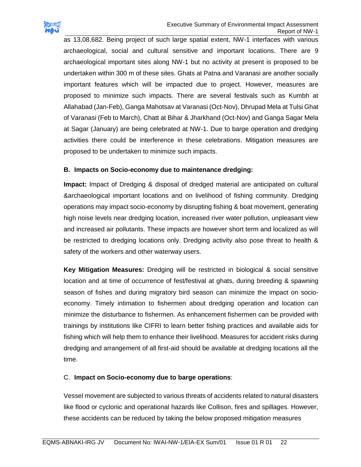

as 13,08,682. Being project of such large spatial extent, NW-1 interfaces with various archaeological, social and cultural sensitive and important locations. There are 9 archaeological important sites along NW-1 but no activity at present is proposed to be undertaken within 300 m of these sites. Ghats at Patna and Varanasi are another socially important features which will be impacted due to project. However, measures are proposed to minimize such impacts. There are several festivals such as Kumbh at Allahabad (Jan-Feb), Ganga Mahotsav at Varanasi (Oct-Nov), Dhrupad Mela at Tulsi Ghat of Varanasi (Feb to March), Chatt at Bihar & Jharkhand (Oct-Nov) and Ganga Sagar Mela at Sagar (January) are being celebrated at NW-1. Due to barge operation and dredging activities there could be interference in these celebrations. Mitigation measures are proposed to be undertaken to minimize such impacts.

#### **B. Impacts on Socio-economy due to maintenance dredging:**

**Impact:** Impact of Dredging & disposal of dredged material are anticipated on cultural &archaeological important locations and on livelihood of fishing community. Dredging operations may impact socio-economy by disrupting fishing & boat movement, generating high noise levels near dredging location, increased river water pollution, unpleasant view and increased air pollutants. These impacts are however short term and localized as will be restricted to dredging locations only. Dredging activity also pose threat to health & safety of the workers and other waterway users.

**Key Mitigation Measures:** Dredging will be restricted in biological & social sensitive location and at time of occurrence of fest/festival at ghats, during breeding & spawning season of fishes and during migratory bird season can minimize the impact on socioeconomy. Timely intimation to fishermen about dredging operation and location can minimize the disturbance to fishermen. As enhancement fishermen can be provided with trainings by institutions like CIFRI to learn better fishing practices and available aids for fishing which will help them to enhance their livelihood. Measures for accident risks during dredging and arrangement of all first-aid should be available at dredging locations all the time.

#### C. **Impact on Socio-economy due to barge operations**:

Vessel movement are subjected to various threats of accidents related to natural disasters like flood or cyclonic and operational hazards like Collison, fires and spillages. However, these accidents can be reduced by taking the below proposed mitigation measures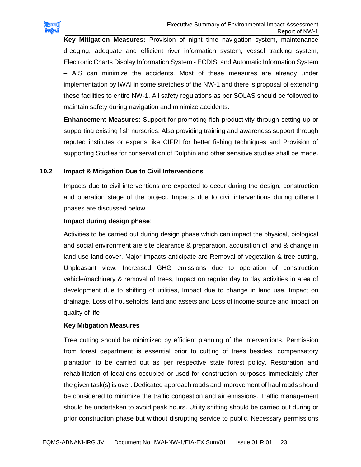

**Key Mitigation Measures:** Provision of night time navigation system, maintenance dredging, adequate and efficient river information system, vessel tracking system, Electronic Charts Display Information System - ECDIS, and Automatic Information System – AIS can minimize the accidents. Most of these measures are already under implementation by IWAI in some stretches of the NW-1 and there is proposal of extending these facilities to entire NW-1. All safety regulations as per SOLAS should be followed to maintain safety during navigation and minimize accidents.

**Enhancement Measures**: Support for promoting fish productivity through setting up or supporting existing fish nurseries. Also providing training and awareness support through reputed institutes or experts like CIFRI for better fishing techniques and Provision of supporting Studies for conservation of Dolphin and other sensitive studies shall be made.

#### **10.2 Impact & Mitigation Due to Civil Interventions**

Impacts due to civil interventions are expected to occur during the design, construction and operation stage of the project. Impacts due to civil interventions during different phases are discussed below

#### **Impact during design phase**:

Activities to be carried out during design phase which can impact the physical, biological and social environment are site clearance & preparation, acquisition of land & change in land use land cover. Major impacts anticipate are Removal of vegetation & tree cutting, Unpleasant view, Increased GHG emissions due to operation of construction vehicle/machinery & removal of trees, Impact on regular day to day activities in area of development due to shifting of utilities, Impact due to change in land use, Impact on drainage, Loss of households, land and assets and Loss of income source and impact on quality of life

#### **Key Mitigation Measures**

Tree cutting should be minimized by efficient planning of the interventions. Permission from forest department is essential prior to cutting of trees besides, compensatory plantation to be carried out as per respective state forest policy. Restoration and rehabilitation of locations occupied or used for construction purposes immediately after the given task(s) is over. Dedicated approach roads and improvement of haul roads should be considered to minimize the traffic congestion and air emissions. Traffic management should be undertaken to avoid peak hours. Utility shifting should be carried out during or prior construction phase but without disrupting service to public. Necessary permissions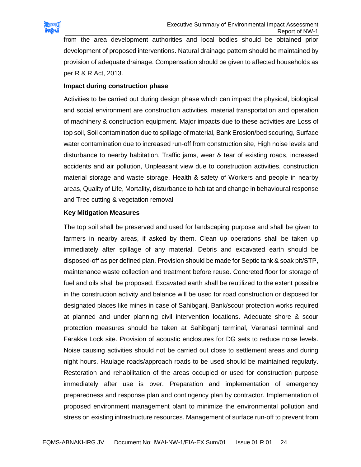

from the area development authorities and local bodies should be obtained prior development of proposed interventions. Natural drainage pattern should be maintained by provision of adequate drainage. Compensation should be given to affected households as per R & R Act, 2013.

#### **Impact during construction phase**

Activities to be carried out during design phase which can impact the physical, biological and social environment are construction activities, material transportation and operation of machinery & construction equipment. Major impacts due to these activities are Loss of top soil, Soil contamination due to spillage of material, Bank Erosion/bed scouring, Surface water contamination due to increased run-off from construction site, High noise levels and disturbance to nearby habitation, Traffic jams, wear & tear of existing roads, increased accidents and air pollution, Unpleasant view due to construction activities, construction material storage and waste storage, Health & safety of Workers and people in nearby areas, Quality of Life, Mortality, disturbance to habitat and change in behavioural response and Tree cutting & vegetation removal

#### **Key Mitigation Measures**

The top soil shall be preserved and used for landscaping purpose and shall be given to farmers in nearby areas, if asked by them. Clean up operations shall be taken up immediately after spillage of any material. Debris and excavated earth should be disposed-off as per defined plan. Provision should be made for Septic tank & soak pit/STP, maintenance waste collection and treatment before reuse. Concreted floor for storage of fuel and oils shall be proposed. Excavated earth shall be reutilized to the extent possible in the construction activity and balance will be used for road construction or disposed for designated places like mines in case of Sahibganj. Bank/scour protection works required at planned and under planning civil intervention locations. Adequate shore & scour protection measures should be taken at Sahibganj terminal, Varanasi terminal and Farakka Lock site. Provision of acoustic enclosures for DG sets to reduce noise levels. Noise causing activities should not be carried out close to settlement areas and during night hours. Haulage roads/approach roads to be used should be maintained regularly. Restoration and rehabilitation of the areas occupied or used for construction purpose immediately after use is over. Preparation and implementation of emergency preparedness and response plan and contingency plan by contractor. Implementation of proposed environment management plant to minimize the environmental pollution and stress on existing infrastructure resources. Management of surface run-off to prevent from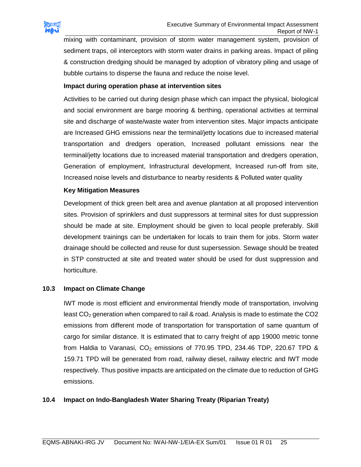

mixing with contaminant, provision of storm water management system, provision of sediment traps, oil interceptors with storm water drains in parking areas. Impact of piling & construction dredging should be managed by adoption of vibratory piling and usage of bubble curtains to disperse the fauna and reduce the noise level.

#### **Impact during operation phase at intervention sites**

Activities to be carried out during design phase which can impact the physical, biological and social environment are barge mooring & berthing, operational activities at terminal site and discharge of waste/waste water from intervention sites. Major impacts anticipate are Increased GHG emissions near the terminal/jetty locations due to increased material transportation and dredgers operation, Increased pollutant emissions near the terminal/jetty locations due to increased material transportation and dredgers operation, Generation of employment, Infrastructural development, Increased run-off from site, Increased noise levels and disturbance to nearby residents & Polluted water quality

#### **Key Mitigation Measures**

Development of thick green belt area and avenue plantation at all proposed intervention sites. Provision of sprinklers and dust suppressors at terminal sites for dust suppression should be made at site. Employment should be given to local people preferably. Skill development trainings can be undertaken for locals to train them for jobs. Storm water drainage should be collected and reuse for dust supersession. Sewage should be treated in STP constructed at site and treated water should be used for dust suppression and horticulture.

#### **10.3 Impact on Climate Change**

IWT mode is most efficient and environmental friendly mode of transportation, involving least  $CO<sub>2</sub>$  generation when compared to rail & road. Analysis is made to estimate the  $CO<sub>2</sub>$ emissions from different mode of transportation for transportation of same quantum of cargo for similar distance. It is estimated that to carry freight of app 19000 metric tonne from Haldia to Varanasi,  $CO<sub>2</sub>$  emissions of 770.95 TPD, 234.46 TDP, 220.67 TPD & 159.71 TPD will be generated from road, railway diesel, railway electric and IWT mode respectively. Thus positive impacts are anticipated on the climate due to reduction of GHG emissions.

#### **10.4 Impact on Indo-Bangladesh Water Sharing Treaty (Riparian Treaty)**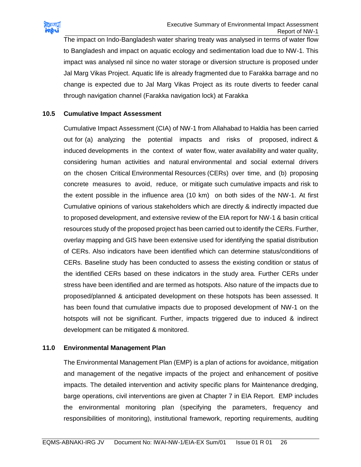

The impact on Indo-Bangladesh water sharing treaty was analysed in terms of water flow to Bangladesh and impact on aquatic ecology and sedimentation load due to NW-1. This impact was analysed nil since no water storage or diversion structure is proposed under Jal Marg Vikas Project. Aquatic life is already fragmented due to Farakka barrage and no change is expected due to Jal Marg Vikas Project as its route diverts to feeder canal through navigation channel (Farakka navigation lock) at Farakka

#### **10.5 Cumulative Impact Assessment**

Cumulative Impact Assessment (CIA) of NW-1 from Allahabad to Haldia has been carried out for (a) analyzing the potential impacts and risks of proposed, indirect & induced developments in the context of water flow, water availability and water quality, considering human activities and natural environmental and social external drivers on the chosen Critical Environmental Resources (CERs) over time, and (b) proposing concrete measures to avoid, reduce, or mitigate such cumulative impacts and risk to the extent possible in the influence area (10 km) on both sides of the NW-1. At first Cumulative opinions of various stakeholders which are directly & indirectly impacted due to proposed development, and extensive review of the EIA report for NW-1 & basin critical resources study of the proposed project has been carried out to identify the CERs. Further, overlay mapping and GIS have been extensive used for identifying the spatial distribution of CERs. Also indicators have been identified which can determine status/conditions of CERs. Baseline study has been conducted to assess the existing condition or status of the identified CERs based on these indicators in the study area. Further CERs under stress have been identified and are termed as hotspots. Also nature of the impacts due to proposed/planned & anticipated development on these hotspots has been assessed. It has been found that cumulative impacts due to proposed development of NW-1 on the hotspots will not be significant. Further, impacts triggered due to induced & indirect development can be mitigated & monitored.

#### **11.0 Environmental Management Plan**

The Environmental Management Plan (EMP) is a plan of actions for avoidance, mitigation and management of the negative impacts of the project and enhancement of positive impacts. The detailed intervention and activity specific plans for Maintenance dredging, barge operations, civil interventions are given at Chapter 7 in EIA Report. EMP includes the environmental monitoring plan (specifying the parameters, frequency and responsibilities of monitoring), institutional framework, reporting requirements, auditing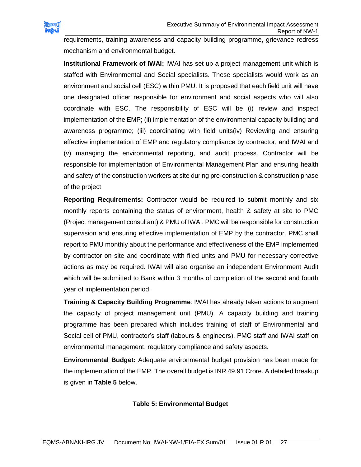

requirements, training awareness and capacity building programme, grievance redress mechanism and environmental budget.

**Institutional Framework of IWAI:** IWAI has set up a project management unit which is staffed with Environmental and Social specialists. These specialists would work as an environment and social cell (ESC) within PMU. It is proposed that each field unit will have one designated officer responsible for environment and social aspects who will also coordinate with ESC. The responsibility of ESC will be (i) review and inspect implementation of the EMP; (ii) implementation of the environmental capacity building and awareness programme; (iii) coordinating with field units(iv) Reviewing and ensuring effective implementation of EMP and regulatory compliance by contractor, and IWAI and (v) managing the environmental reporting, and audit process. Contractor will be responsible for implementation of Environmental Management Plan and ensuring health and safety of the construction workers at site during pre-construction & construction phase of the project

**Reporting Requirements:** Contractor would be required to submit monthly and six monthly reports containing the status of environment, health & safety at site to PMC (Project management consultant) & PMU of IWAI. PMC will be responsible for construction supervision and ensuring effective implementation of EMP by the contractor. PMC shall report to PMU monthly about the performance and effectiveness of the EMP implemented by contractor on site and coordinate with filed units and PMU for necessary corrective actions as may be required. IWAI will also organise an independent Environment Audit which will be submitted to Bank within 3 months of completion of the second and fourth year of implementation period.

**Training & Capacity Building Programme**: IWAI has already taken actions to augment the capacity of project management unit (PMU). A capacity building and training programme has been prepared which includes training of staff of Environmental and Social cell of PMU, contractor's staff (labours & engineers), PMC staff and IWAI staff on environmental management, regulatory compliance and safety aspects.

**Environmental Budget:** Adequate environmental budget provision has been made for the implementation of the EMP. The overall budget is INR 49.91 Crore. A detailed breakup is given in **Table 5** below.

# **Table 5: Environmental Budget**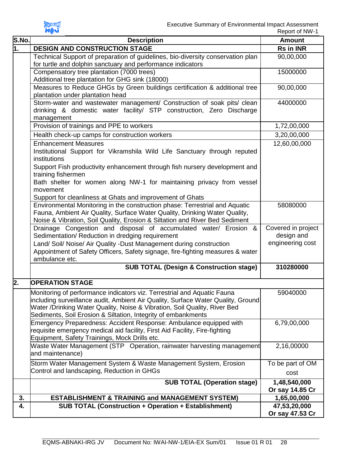

| S.No. | <b>Description</b>                                                                                                                                                                                                                                                                                         | <b>Amount</b>                    |
|-------|------------------------------------------------------------------------------------------------------------------------------------------------------------------------------------------------------------------------------------------------------------------------------------------------------------|----------------------------------|
| 1.    | <b>DESIGN AND CONSTRUCTION STAGE</b>                                                                                                                                                                                                                                                                       | <b>Rs in INR</b>                 |
|       | Technical Support of preparation of guidelines, bio-diversity conservation plan                                                                                                                                                                                                                            | 90,00,000                        |
|       | for turtle and dolphin sanctuary and performance indicators                                                                                                                                                                                                                                                |                                  |
|       | Compensatory tree plantation (7000 trees)                                                                                                                                                                                                                                                                  | 15000000                         |
|       | Additional tree plantation for GHG sink (18000)                                                                                                                                                                                                                                                            |                                  |
|       | Measures to Reduce GHGs by Green buildings certification & additional tree                                                                                                                                                                                                                                 | 90,00,000                        |
|       | plantation under plantation head                                                                                                                                                                                                                                                                           |                                  |
|       | Storm-water and wastewater management/ Construction of soak pits/ clean<br>drinking & domestic water facility/ STP construction, Zero Discharge<br>management                                                                                                                                              | 44000000                         |
|       | Provision of trainings and PPE to workers                                                                                                                                                                                                                                                                  | 1,72,00,000                      |
|       | Health check-up camps for construction workers                                                                                                                                                                                                                                                             | 3,20,00,000                      |
|       | <b>Enhancement Measures</b>                                                                                                                                                                                                                                                                                |                                  |
|       | Institutional Support for Vikramshila Wild Life Sanctuary through reputed<br>institutions                                                                                                                                                                                                                  | 12,60,00,000                     |
|       | Support Fish productivity enhancement through fish nursery development and<br>training fishermen                                                                                                                                                                                                           |                                  |
|       | Bath shelter for women along NW-1 for maintaining privacy from vessel<br>movement                                                                                                                                                                                                                          |                                  |
|       | Support for cleanliness at Ghats and improvement of Ghats                                                                                                                                                                                                                                                  |                                  |
|       | Environmental Monitoring in the construction phase: Terrestrial and Aquatic<br>Fauna, Ambient Air Quality, Surface Water Quality, Drinking Water Quality,<br>Noise & Vibration, Soil Quality, Erosion & Siltation and River Bed Sediment                                                                   | 58080000                         |
|       | Drainage Congestion and disposal of accumulated water/ Erosion &<br>Sedimentation/ Reduction in dredging requirement                                                                                                                                                                                       | Covered in project<br>design and |
|       | Land/ Soil/ Noise/ Air Quality -Dust Management during construction                                                                                                                                                                                                                                        | engineering cost                 |
|       | Appointment of Safety Officers, Safety signage, fire-fighting measures & water                                                                                                                                                                                                                             |                                  |
|       | ambulance etc.                                                                                                                                                                                                                                                                                             |                                  |
|       | <b>SUB TOTAL (Design &amp; Construction stage)</b>                                                                                                                                                                                                                                                         | 310280000                        |
| 2.    | <b>OPERATION STAGE</b>                                                                                                                                                                                                                                                                                     |                                  |
|       | Monitoring of performance indicators viz. Terrestrial and Aquatic Fauna<br> including surveillance audit, Ambient Air Quality, Surface Water Quality, Ground<br>Water /Drinking Water Quality, Noise & Vibration, Soil Quality, River Bed<br>Sediments, Soil Erosion & Siltation, Integrity of embankments | 59040000                         |
|       | Emergency Preparedness: Accident Response: Ambulance equipped with<br>requisite emergency medical aid facility, First Aid Facility, Fire-fighting<br>Equipment, Safety Trainings, Mock Drills etc.                                                                                                         | 6,79,00,000                      |
|       | Waste Water Management (STP Operation, rainwater harvesting management<br>and maintenance)                                                                                                                                                                                                                 | 2,16,00000                       |
|       | Storm Water Management System & Waste Management System, Erosion                                                                                                                                                                                                                                           | To be part of OM                 |
|       | Control and landscaping, Reduction in GHGs                                                                                                                                                                                                                                                                 | cost                             |
|       | <b>SUB TOTAL (Operation stage)</b>                                                                                                                                                                                                                                                                         | 1,48,540,000                     |
|       |                                                                                                                                                                                                                                                                                                            | Or say 14.85 Cr                  |
| 3.    | <b>ESTABLISHMENT &amp; TRAINING and MANAGEMENT SYSTEM)</b>                                                                                                                                                                                                                                                 | 1,65,00,000                      |
| 4.    | <b>SUB TOTAL (Construction + Operation + Establishment)</b>                                                                                                                                                                                                                                                | 47,53,20,000<br>Or say 47.53 Cr  |